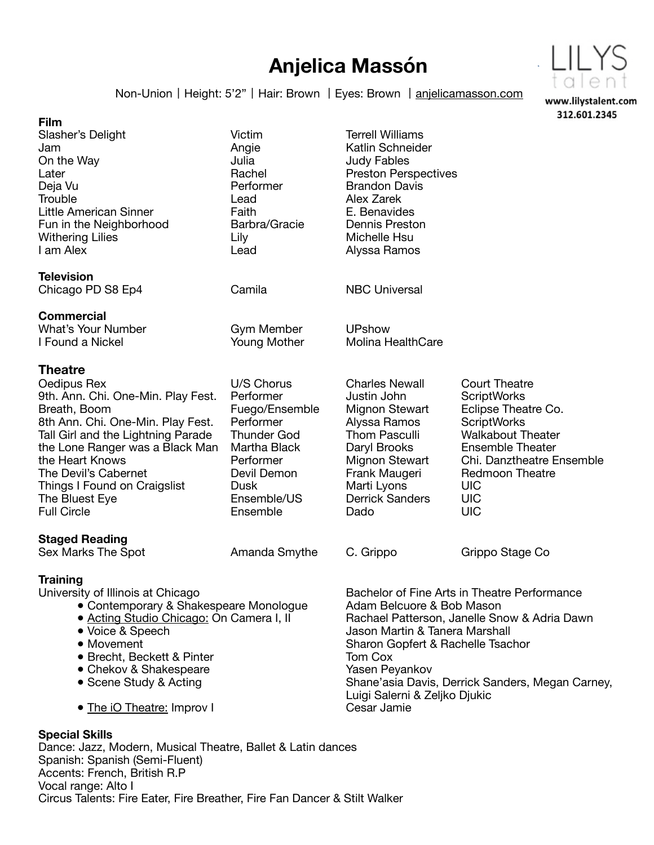## **Anjelica Massón**



Non-Union | Height: 5'2" | Hair: Brown | Eyes: Brown | [anjelicamasson.com](http://anjelicamasson.com)

| <b>Film</b>                                                                                                                                                                                                                                                                                                          |                                                                                                                                                                    |                                                                                                                                                                                                                                                                                                                                   | 312.601.2345                                                                                                                                                                                                                                    |
|----------------------------------------------------------------------------------------------------------------------------------------------------------------------------------------------------------------------------------------------------------------------------------------------------------------------|--------------------------------------------------------------------------------------------------------------------------------------------------------------------|-----------------------------------------------------------------------------------------------------------------------------------------------------------------------------------------------------------------------------------------------------------------------------------------------------------------------------------|-------------------------------------------------------------------------------------------------------------------------------------------------------------------------------------------------------------------------------------------------|
| Slasher's Delight<br>Jam<br>On the Way<br>Later<br>Deja Vu<br>Trouble<br>Little American Sinner<br>Fun in the Neighborhood<br><b>Withering Lilies</b><br>I am Alex                                                                                                                                                   | Victim<br>Angie<br>Julia<br>Rachel<br>Performer<br>Lead<br>Faith<br>Barbra/Gracie<br>Lily<br>Lead                                                                  | <b>Terrell Williams</b><br>Katlin Schneider<br><b>Judy Fables</b><br><b>Preston Perspectives</b><br><b>Brandon Davis</b><br>Alex Zarek<br>E. Benavides<br>Dennis Preston<br>Michelle Hsu<br>Alyssa Ramos                                                                                                                          |                                                                                                                                                                                                                                                 |
| <b>Television</b><br>Chicago PD S8 Ep4                                                                                                                                                                                                                                                                               | Camila                                                                                                                                                             | <b>NBC Universal</b>                                                                                                                                                                                                                                                                                                              |                                                                                                                                                                                                                                                 |
| <b>Commercial</b><br><b>What's Your Number</b><br>I Found a Nickel                                                                                                                                                                                                                                                   | Gym Member<br>Young Mother                                                                                                                                         | <b>UPshow</b><br>Molina HealthCare                                                                                                                                                                                                                                                                                                |                                                                                                                                                                                                                                                 |
| <b>Theatre</b><br>Oedipus Rex<br>9th. Ann. Chi. One-Min. Play Fest.<br>Breath, Boom<br>8th Ann. Chi. One-Min. Play Fest.<br>Tall Girl and the Lightning Parade<br>the Lone Ranger was a Black Man<br>the Heart Knows<br>The Devil's Cabernet<br>Things I Found on Craigslist<br>The Bluest Eye<br><b>Full Circle</b> | U/S Chorus<br>Performer<br>Fuego/Ensemble<br>Performer<br><b>Thunder God</b><br>Martha Black<br>Performer<br>Devil Demon<br><b>Dusk</b><br>Ensemble/US<br>Ensemble | <b>Charles Newall</b><br>Justin John<br>Mignon Stewart<br>Alyssa Ramos<br><b>Thom Pasculli</b><br>Daryl Brooks<br>Mignon Stewart<br>Frank Maugeri<br>Marti Lyons<br><b>Derrick Sanders</b><br>Dado                                                                                                                                | <b>Court Theatre</b><br><b>ScriptWorks</b><br>Eclipse Theatre Co.<br><b>ScriptWorks</b><br><b>Walkabout Theater</b><br><b>Ensemble Theater</b><br>Chi. Danztheatre Ensemble<br><b>Redmoon Theatre</b><br><b>UIC</b><br><b>UIC</b><br><b>UIC</b> |
| <b>Staged Reading</b><br>Sex Marks The Spot                                                                                                                                                                                                                                                                          | Amanda Smythe                                                                                                                                                      | C. Grippo                                                                                                                                                                                                                                                                                                                         | Grippo Stage Co                                                                                                                                                                                                                                 |
| <b>Training</b><br>University of Illinois at Chicago<br>• Contemporary & Shakespeare Monologue<br>· Acting Studio Chicago: On Camera I, II<br>· Voice & Speech<br>• Movement<br>• Brecht, Beckett & Pinter<br>• Chekov & Shakespeare<br>• Scene Study & Acting<br>• The iO Theatre: Improv I                         |                                                                                                                                                                    | Bachelor of Fine Arts in Theatre Performance<br>Adam Belcuore & Bob Mason<br>Rachael Patterson, Janelle Snow & Adria Dawn<br>Jason Martin & Tanera Marshall<br>Sharon Gopfert & Rachelle Tsachor<br>Tom Cox<br>Yasen Peyankov<br>Shane'asia Davis, Derrick Sanders, Megan Carney,<br>Luigi Salerni & Zeljko Djukic<br>Cesar Jamie |                                                                                                                                                                                                                                                 |

## **Special Skills**

Dance: Jazz, Modern, Musical Theatre, Ballet & Latin dances Spanish: Spanish (Semi-Fluent) Accents: French, British R.P Vocal range: Alto I Circus Talents: Fire Eater, Fire Breather, Fire Fan Dancer & Stilt Walker